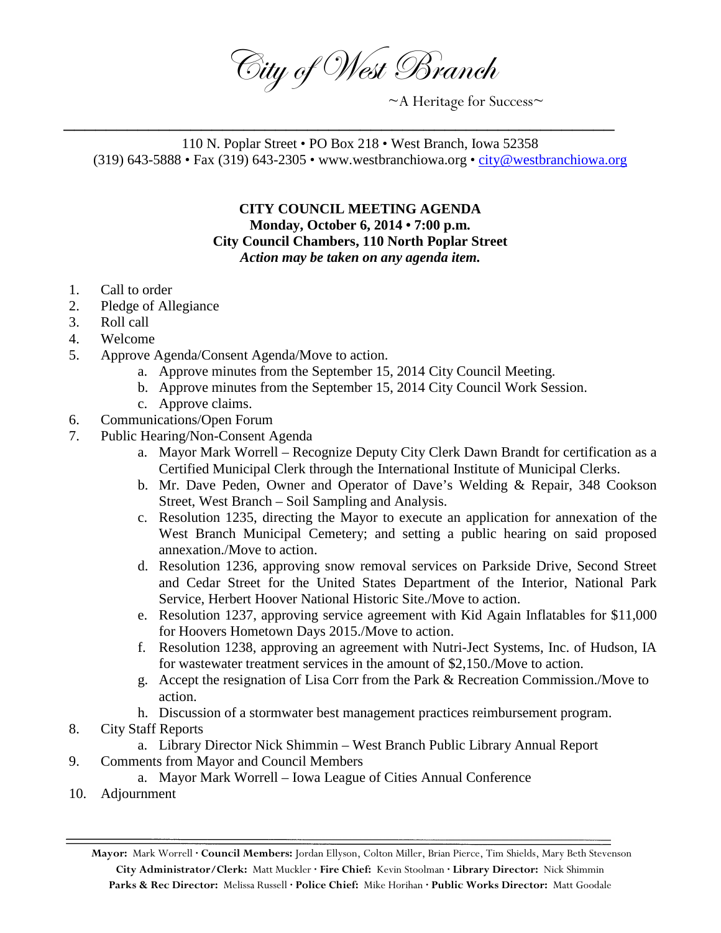City of West Branch

 $~\sim$ A Heritage for Success $\sim$ 

110 N. Poplar Street • PO Box 218 • West Branch, Iowa 52358 (319) 643-5888 • Fax (319) 643-2305 • www.westbranchiowa.org • [city@westbranchiowa.org](mailto:city@westbranchiowa.org)

\_\_\_\_\_\_\_\_\_\_\_\_\_\_\_\_\_\_\_\_\_\_\_\_\_\_\_\_\_\_\_\_\_\_\_\_\_\_\_\_\_\_\_\_\_\_\_\_\_\_\_\_

**CITY COUNCIL MEETING AGENDA Monday, October 6, 2014 • 7:00 p.m. City Council Chambers, 110 North Poplar Street** *Action may be taken on any agenda item.*

- 1. Call to order
- 2. Pledge of Allegiance
- 3. Roll call
- 4. Welcome
- 5. Approve Agenda/Consent Agenda/Move to action.
	- a. Approve minutes from the September 15, 2014 City Council Meeting.
	- b. Approve minutes from the September 15, 2014 City Council Work Session.
	- c. Approve claims.
- 6. Communications/Open Forum
- 7. Public Hearing/Non-Consent Agenda
	- a. Mayor Mark Worrell Recognize Deputy City Clerk Dawn Brandt for certification as a Certified Municipal Clerk through the International Institute of Municipal Clerks.
	- b. Mr. Dave Peden, Owner and Operator of Dave's Welding & Repair, 348 Cookson Street, West Branch – Soil Sampling and Analysis.
	- c. Resolution 1235, directing the Mayor to execute an application for annexation of the West Branch Municipal Cemetery; and setting a public hearing on said proposed annexation./Move to action.
	- d. Resolution 1236, approving snow removal services on Parkside Drive, Second Street and Cedar Street for the United States Department of the Interior, National Park Service, Herbert Hoover National Historic Site./Move to action.
	- e. Resolution 1237, approving service agreement with Kid Again Inflatables for \$11,000 for Hoovers Hometown Days 2015./Move to action.
	- f. Resolution 1238, approving an agreement with Nutri-Ject Systems, Inc. of Hudson, IA for wastewater treatment services in the amount of \$2,150./Move to action.
	- g. Accept the resignation of Lisa Corr from the Park & Recreation Commission./Move to action.
	- h. Discussion of a stormwater best management practices reimbursement program.
- 8. City Staff Reports
	- a. Library Director Nick Shimmin West Branch Public Library Annual Report
- 9. Comments from Mayor and Council Members
	- a. Mayor Mark Worrell Iowa League of Cities Annual Conference
- 10. Adjournment

**Mayor:** Mark Worrell **· Council Members:** Jordan Ellyson, Colton Miller, Brian Pierce, Tim Shields, Mary Beth Stevenson **City Administrator/Clerk:** Matt Muckler **· Fire Chief:** Kevin Stoolman **· Library Director:** Nick Shimmin **Parks & Rec Director:** Melissa Russell **· Police Chief:** Mike Horihan **· Public Works Director:** Matt Goodale